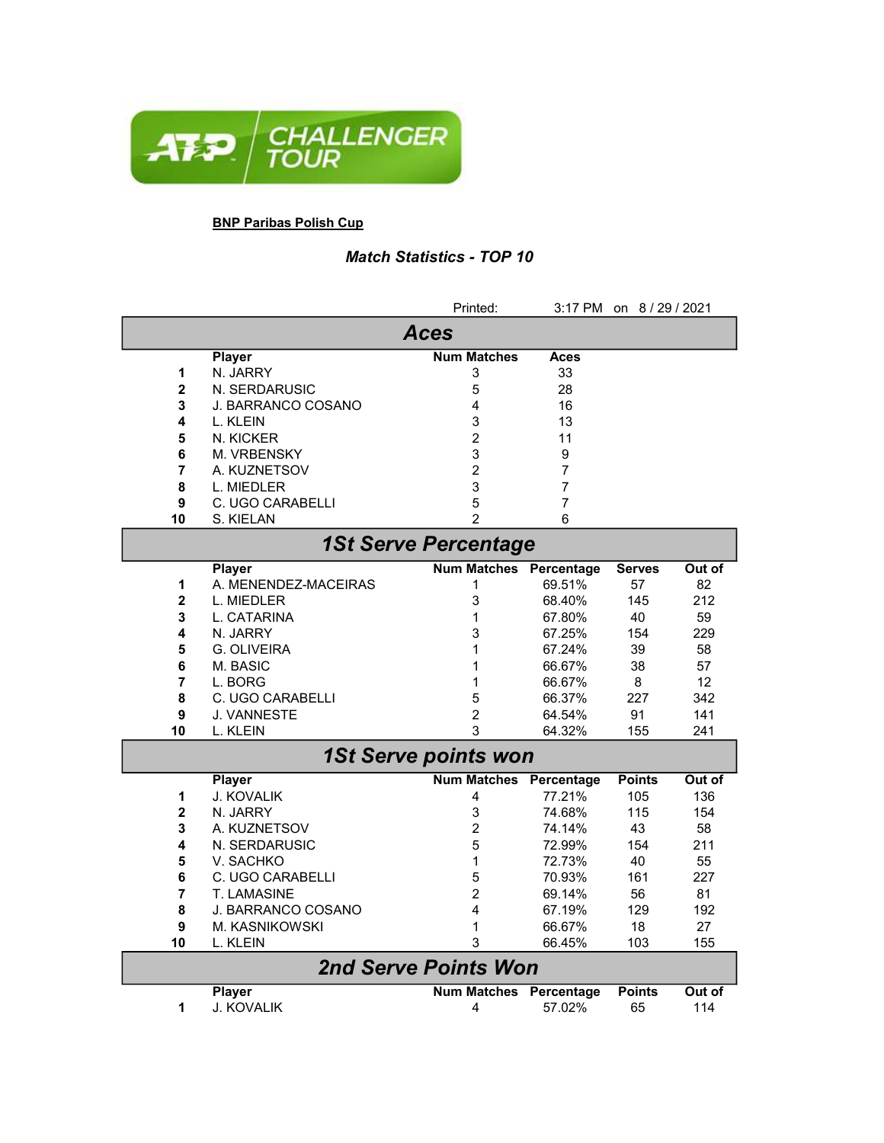

## BNP Paribas Polish Cup

## Match Statistics - TOP 10

|                             |                         | Printed:                      |             | 3:17 PM on 8/29/2021 |        |  |  |
|-----------------------------|-------------------------|-------------------------------|-------------|----------------------|--------|--|--|
| <b>Aces</b>                 |                         |                               |             |                      |        |  |  |
|                             | <b>Player</b>           | <b>Num Matches</b>            | <b>Aces</b> |                      |        |  |  |
| 1                           | N. JARRY                | 3                             | 33          |                      |        |  |  |
| $\overline{2}$              | N. SERDARUSIC           | 5                             | 28          |                      |        |  |  |
| 3                           | J. BARRANCO COSANO      | 4                             | 16          |                      |        |  |  |
| 4                           | L. KLEIN                | 3                             | 13          |                      |        |  |  |
| 5                           | N. KICKER               | $\overline{c}$                | 11          |                      |        |  |  |
| 6                           | <b>M. VRBENSKY</b>      | 3                             | 9           |                      |        |  |  |
| 7                           | A. KUZNETSOV            | 2                             | 7           |                      |        |  |  |
| 8                           | L. MIEDLER              | 3                             | 7           |                      |        |  |  |
| 9                           | C. UGO CARABELLI        | 5                             | 7           |                      |        |  |  |
| 10                          | S. KIELAN               | 2                             | 6           |                      |        |  |  |
| <b>1St Serve Percentage</b> |                         |                               |             |                      |        |  |  |
|                             | <b>Player</b>           | <b>Num Matches</b>            | Percentage  | <b>Serves</b>        | Out of |  |  |
| 1                           | A. MENENDEZ-MACEIRAS    | 1                             | 69.51%      | 57                   | 82     |  |  |
| $\overline{\mathbf{2}}$     | L. MIEDLER              | 3                             | 68.40%      | 145                  | 212    |  |  |
| 3                           | L. CATARINA             | 1                             | 67.80%      | 40                   | 59     |  |  |
| 4                           | N. JARRY                | 3                             | 67.25%      | 154                  | 229    |  |  |
| 5                           | G. OLIVEIRA             | 1                             | 67.24%      | 39                   | 58     |  |  |
| 6                           | M. BASIC                | 1                             | 66.67%      | 38                   | 57     |  |  |
| $\overline{7}$              | L. BORG                 | 1                             | 66.67%      | 8                    | 12     |  |  |
| 8                           | C. UGO CARABELLI        | 5                             | 66.37%      | 227                  | 342    |  |  |
| 9                           | <b>J. VANNESTE</b>      | $\overline{c}$                | 64.54%      | 91                   | 141    |  |  |
| 10                          | L. KLEIN                | 3                             | 64.32%      | 155                  | 241    |  |  |
|                             |                         | <b>1St Serve points won</b>   |             |                      |        |  |  |
|                             | <b>Player</b>           | <b>Num Matches</b>            | Percentage  | <b>Points</b>        | Out of |  |  |
| 1                           | J. KOVALIK              | 4                             | 77.21%      | 105                  | 136    |  |  |
| $\overline{\mathbf{2}}$     | N. JARRY                | 3                             | 74.68%      | 115                  | 154    |  |  |
| 3                           | A. KUZNETSOV            | $\overline{c}$                | 74.14%      | 43                   | 58     |  |  |
| 4                           | N. SERDARUSIC           | 5                             | 72.99%      | 154                  | 211    |  |  |
| 5                           | V. SACHKO               | 1                             | 72.73%      | 40                   | 55     |  |  |
| 6                           | <b>C. UGO CARABELLI</b> | 5                             | 70.93%      | 161                  | 227    |  |  |
| 7                           | <b>T. LAMASINE</b>      | $\overline{2}$                | 69.14%      | 56                   | 81     |  |  |
| 8                           | J. BARRANCO COSANO      | 4                             | 67.19%      | 129                  | 192    |  |  |
| 9                           | M. KASNIKOWSKI          | 1                             | 66.67%      | 18                   | 27     |  |  |
| 10                          | L. KLEIN                | 3                             | 66.45%      | 103                  | 155    |  |  |
| <b>2nd Serve Points Won</b> |                         |                               |             |                      |        |  |  |
|                             | <b>Player</b>           | <b>Num Matches Percentage</b> |             | <b>Points</b>        | Out of |  |  |
| 1                           | J. KOVALIK              | 4                             | 57.02%      | 65                   | 114    |  |  |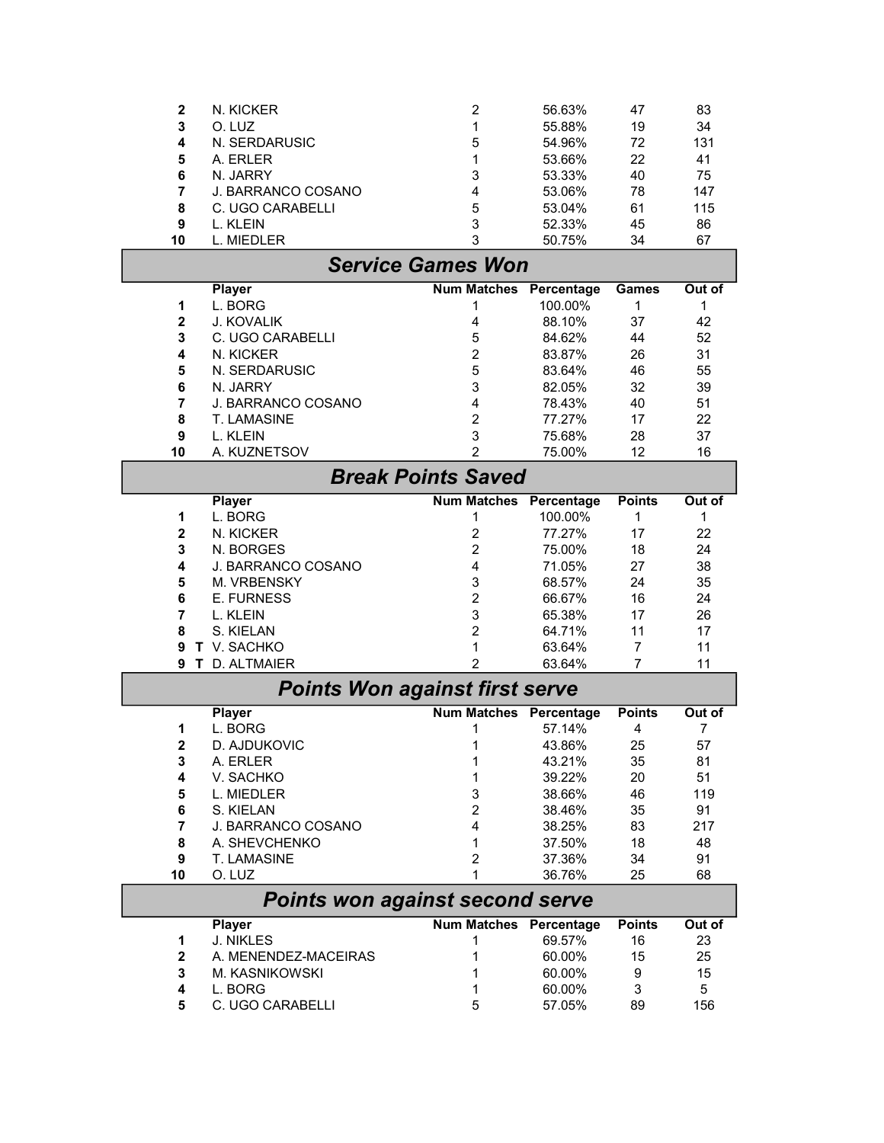|             |                                          | $\overline{c}$                |                      |               |          |
|-------------|------------------------------------------|-------------------------------|----------------------|---------------|----------|
| $\mathbf 2$ | N. KICKER                                |                               | 56.63%               | 47            | 83       |
| 3           | O. LUZ                                   | 1                             | 55.88%               | 19            | 34       |
| 4           | N. SERDARUSIC                            | 5                             | 54.96%               | 72            | 131      |
| 5           | A. ERLER                                 | 1                             | 53.66%               | 22            | 41       |
| 6           | N. JARRY                                 | 3                             | 53.33%               | 40            | 75       |
| 7           | <b>J. BARRANCO COSANO</b>                | 4                             | 53.06%               | 78            | 147      |
| 8           | C. UGO CARABELLI                         | 5                             | 53.04%               | 61            | 115      |
| 9           | L. KLEIN                                 | 3                             | 52.33%               | 45            | 86       |
| 10          | L. MIEDLER                               | 3                             | 50.75%               | 34            | 67       |
|             |                                          | <b>Service Games Won</b>      |                      |               |          |
|             | <b>Player</b>                            | <b>Num Matches</b>            | Percentage           | <b>Games</b>  | Out of   |
| 1           | L. BORG                                  | 1                             | 100.00%              | 1             | 1        |
| $\mathbf 2$ | J. KOVALIK                               | 4                             | 88.10%               | 37            | 42       |
| 3           | C. UGO CARABELLI                         | 5                             | 84.62%               | 44            | 52       |
| 4           | N. KICKER                                | $\overline{2}$                | 83.87%               | 26            | 31       |
| 5           | N. SERDARUSIC                            | 5                             | 83.64%               | 46            | 55       |
| 6           | N. JARRY                                 | 3                             | 82.05%               | 32            | 39       |
| 7           | <b>J. BARRANCO COSANO</b><br>T. LAMASINE | 4                             | 78.43%<br>77.27%     | 40            | 51       |
| 8<br>9      | L. KLEIN                                 | $\overline{2}$<br>3           | 75.68%               | 17<br>28      | 22<br>37 |
| 10          | A. KUZNETSOV                             | 2                             | 75.00%               | 12            | 16       |
|             |                                          |                               |                      |               |          |
|             |                                          | <b>Break Points Saved</b>     |                      |               |          |
|             | <b>Player</b>                            | <b>Num Matches</b>            | Percentage           | <b>Points</b> | Out of   |
| 1           | L. BORG                                  | 1                             | 100.00%              | 1             | 1        |
| $\mathbf 2$ | N. KICKER                                | $\overline{2}$                | 77.27%               | 17            | 22       |
| 3<br>4      | N. BORGES<br><b>J. BARRANCO COSANO</b>   | $\overline{2}$<br>4           | 75.00%<br>71.05%     | 18<br>27      | 24<br>38 |
| 5           | M. VRBENSKY                              | 3                             |                      | 24            |          |
| 6           | <b>E. FURNESS</b>                        | $\overline{2}$                | 68.57%<br>66.67%     | 16            | 35<br>24 |
| 7           | L. KLEIN                                 | 3                             | 65.38%               | 17            | 26       |
| 8           | S. KIELAN                                | $\overline{2}$                | 64.71%               | 11            | 17       |
| 9           | T V. SACHKO                              | 1                             | 63.64%               | 7             | 11       |
| 9           | T D. ALTMAIER                            | $\overline{2}$                | 63.64%               | 7             | 11       |
|             |                                          |                               |                      |               |          |
|             | <b>Points Won against first serve</b>    |                               |                      |               |          |
| 1           | <b>Player</b><br>L. BORG                 | <b>Num Matches</b>            | Percentage<br>57.14% | <b>Points</b> | Out of   |
|             |                                          | 1                             | 43.86%               | 4             | 7        |
| 2<br>3      | D. AJDUKOVIC<br>A. ERLER                 | 1                             | 43.21%               | 25<br>35      | 57<br>81 |
| 4           | V. SACHKO                                | 1                             | 39.22%               | 20            | 51       |
| 5           | L. MIEDLER                               | 3                             | 38.66%               | 46            | 119      |
| 6           | S. KIELAN                                | $\overline{c}$                | 38.46%               | 35            | 91       |
| 7           | J. BARRANCO COSANO                       | 4                             | 38.25%               | 83            | 217      |
| 8           | A. SHEVCHENKO                            | 1                             | 37.50%               | 18            | 48       |
| 9           | <b>T. LAMASINE</b>                       | 2                             | 37.36%               | 34            | 91       |
| 10          | O. LUZ                                   | 1                             | 36.76%               | 25            | 68       |
|             | <b>Points won against second serve</b>   |                               |                      |               |          |
|             | <b>Player</b>                            | <b>Num Matches Percentage</b> |                      | <b>Points</b> | Out of   |
| 1           | <b>J. NIKLES</b>                         | 1                             | 69.57%               | 16            | 23       |
| $\mathbf 2$ | A. MENENDEZ-MACEIRAS                     | 1                             | 60.00%               | 15            | 25       |
| 3           | M. KASNIKOWSKI                           | 1                             | 60.00%               | 9             | 15       |
| 4           | L. BORG                                  |                               | 60.00%               | 3             | 5        |
| 5           | C. UGO CARABELLI                         | 5                             | 57.05%               | 89            | 156      |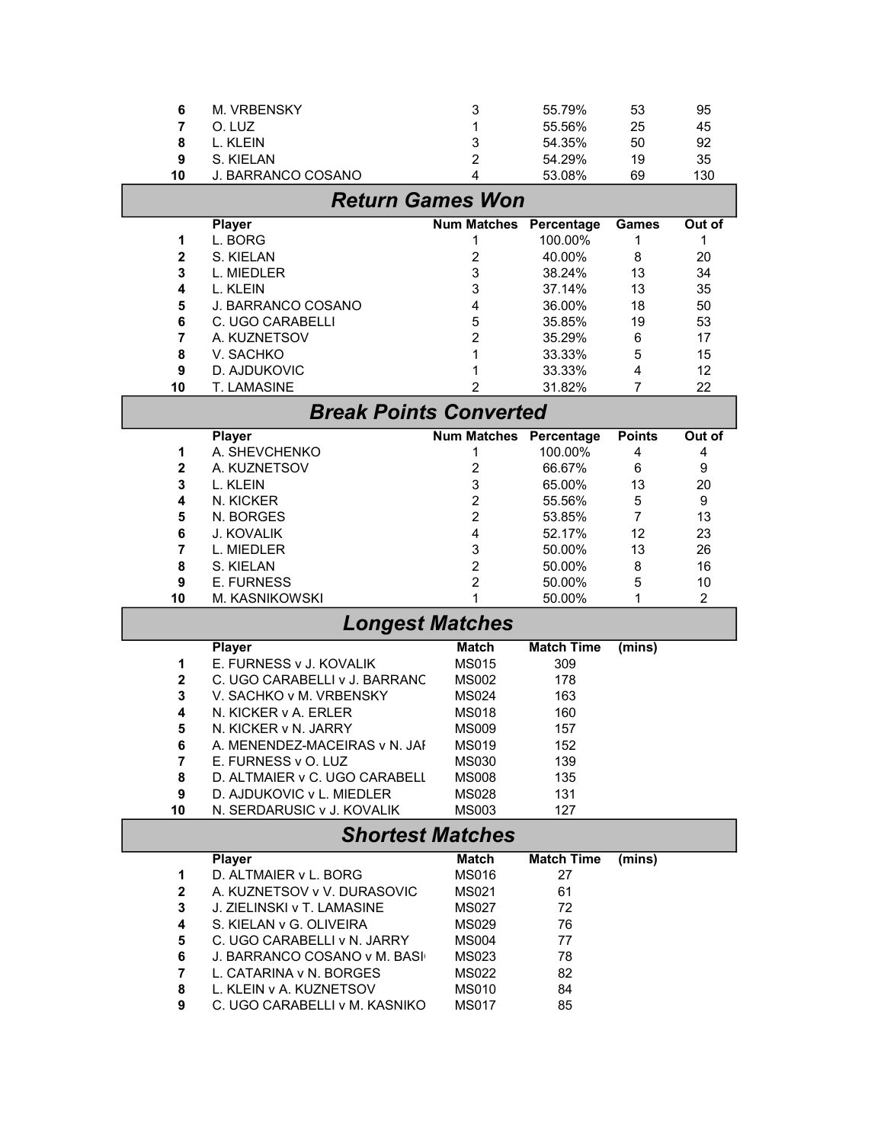| 6                       | M. VRBENSKY                              | 3                             | 55.79%            | 53             | 95             |  |  |
|-------------------------|------------------------------------------|-------------------------------|-------------------|----------------|----------------|--|--|
| 7                       | O. LUZ                                   | 1                             | 55.56%            | 25             | 45             |  |  |
| 8                       | L. KLEIN                                 | 3                             | 54.35%            | 50             | 92             |  |  |
| 9                       | S. KIELAN                                | $\overline{2}$                | 54.29%            | 19             | 35             |  |  |
| 10                      | J. BARRANCO COSANO                       | 4                             | 53.08%            | 69             | 130            |  |  |
|                         |                                          |                               |                   |                |                |  |  |
| <b>Return Games Won</b> |                                          |                               |                   |                |                |  |  |
|                         | <b>Player</b>                            | <b>Num Matches</b>            | Percentage        | <b>Games</b>   | Out of         |  |  |
| 1                       | L. BORG                                  | 1                             | 100.00%           | 1              | 1              |  |  |
| $\mathbf{2}$            | S. KIELAN                                | $\overline{c}$                | 40.00%            | 8              | 20             |  |  |
| 3                       | L. MIEDLER                               | 3                             | 38.24%            | 13             | 34             |  |  |
| 4                       | L. KLEIN                                 | 3                             | 37.14%            | 13             | 35             |  |  |
| 5                       | J. BARRANCO COSANO                       | $\overline{4}$                | 36.00%            | 18             | 50             |  |  |
|                         |                                          |                               |                   |                |                |  |  |
| 6                       | C. UGO CARABELLI                         | 5                             | 35.85%            | 19             | 53             |  |  |
| 7                       | A. KUZNETSOV                             | $\overline{2}$                | 35.29%            | 6              | 17             |  |  |
| 8                       | V. SACHKO                                | 1                             | 33.33%            | 5              | 15             |  |  |
| 9                       | D. AJDUKOVIC                             | 1                             | 33.33%            | $\overline{4}$ | 12             |  |  |
| 10                      | T. LAMASINE                              | 2                             | 31.82%            | 7              | 22             |  |  |
|                         | <b>Break Points Converted</b>            |                               |                   |                |                |  |  |
|                         |                                          |                               |                   |                |                |  |  |
|                         | <b>Player</b>                            | <b>Num Matches Percentage</b> |                   | <b>Points</b>  | Out of         |  |  |
| 1                       | A. SHEVCHENKO                            | 1                             | 100.00%           | 4              | 4              |  |  |
| $\mathbf{2}$            | A. KUZNETSOV                             | $\overline{2}$                | 66.67%            | 6              | 9              |  |  |
| 3                       | L. KLEIN                                 | 3                             | 65.00%            | 13             | 20             |  |  |
| 4                       | N. KICKER                                | $\overline{c}$                | 55.56%            | 5              | 9              |  |  |
| 5                       | N. BORGES                                | $\overline{2}$                | 53.85%            | 7              | 13             |  |  |
| 6                       | J. KOVALIK                               | 4                             | 52.17%            | 12             | 23             |  |  |
| 7                       | L. MIEDLER                               | 3                             | 50.00%            | 13             | 26             |  |  |
| 8                       | S. KIELAN                                | $\overline{c}$                | 50.00%            | 8              | 16             |  |  |
|                         |                                          |                               |                   |                |                |  |  |
|                         |                                          |                               |                   |                |                |  |  |
| $\boldsymbol{9}$        | <b>E. FURNESS</b>                        | $\overline{2}$                | 50.00%            | 5              | 10             |  |  |
| 10                      | M. KASNIKOWSKI                           | 1                             | 50.00%            | 1              | $\overline{c}$ |  |  |
|                         | <b>Longest Matches</b>                   |                               |                   |                |                |  |  |
|                         |                                          | <b>Match</b>                  | <b>Match Time</b> |                |                |  |  |
| 1                       | <b>Player</b><br>E. FURNESS v J. KOVALIK |                               |                   | (mins)         |                |  |  |
|                         |                                          | <b>MS015</b>                  | 309               |                |                |  |  |
| $\mathbf 2$             | C. UGO CARABELLI v J. BARRANC            | <b>MS002</b>                  | 178               |                |                |  |  |
| 3                       | V. SACHKO v M. VRBENSKY                  | <b>MS024</b>                  | 163               |                |                |  |  |
| 4                       | N. KICKER v A. ERLER                     | <b>MS018</b>                  | 160               |                |                |  |  |
| 5                       | N. KICKER v N. JARRY                     | <b>MS009</b>                  | 157               |                |                |  |  |
| 6                       | A. MENENDEZ-MACEIRAS v N. JAI            | MS019                         | 152               |                |                |  |  |
| 7                       | E. FURNESS v O. LUZ                      | <b>MS030</b>                  | 139               |                |                |  |  |
| 8                       | D. ALTMAIER v C. UGO CARABELL            | <b>MS008</b>                  | 135               |                |                |  |  |
| 9                       | D. AJDUKOVIC v L. MIEDLER                | <b>MS028</b>                  | 131               |                |                |  |  |
| 10                      | N. SERDARUSIC v J. KOVALIK               | <b>MS003</b>                  | 127               |                |                |  |  |
|                         | <b>Shortest Matches</b>                  |                               |                   |                |                |  |  |
|                         |                                          |                               |                   |                |                |  |  |
|                         | Player                                   | <b>Match</b>                  | <b>Match Time</b> | (mins)         |                |  |  |
| 1                       | D. ALTMAIER v L. BORG                    | <b>MS016</b>                  | 27                |                |                |  |  |
| $\mathbf 2$             | A. KUZNETSOV v V. DURASOVIC              | MS021                         | 61                |                |                |  |  |
| 3                       | J. ZIELINSKI v T. LAMASINE               | <b>MS027</b>                  | 72                |                |                |  |  |
| 4                       | S. KIELAN v G. OLIVEIRA                  | MS029                         | 76                |                |                |  |  |
| 5                       | C. UGO CARABELLI v N. JARRY              | <b>MS004</b>                  | 77                |                |                |  |  |
| 6                       | J. BARRANCO COSANO v M. BASI             | MS023                         | 78                |                |                |  |  |
| 7                       | L. CATARINA v N. BORGES                  | <b>MS022</b>                  | 82                |                |                |  |  |
| 8                       | L. KLEIN v A. KUZNETSOV                  | <b>MS010</b>                  | 84                |                |                |  |  |
| 9                       | C. UGO CARABELLI v M. KASNIKO            | <b>MS017</b>                  | 85                |                |                |  |  |